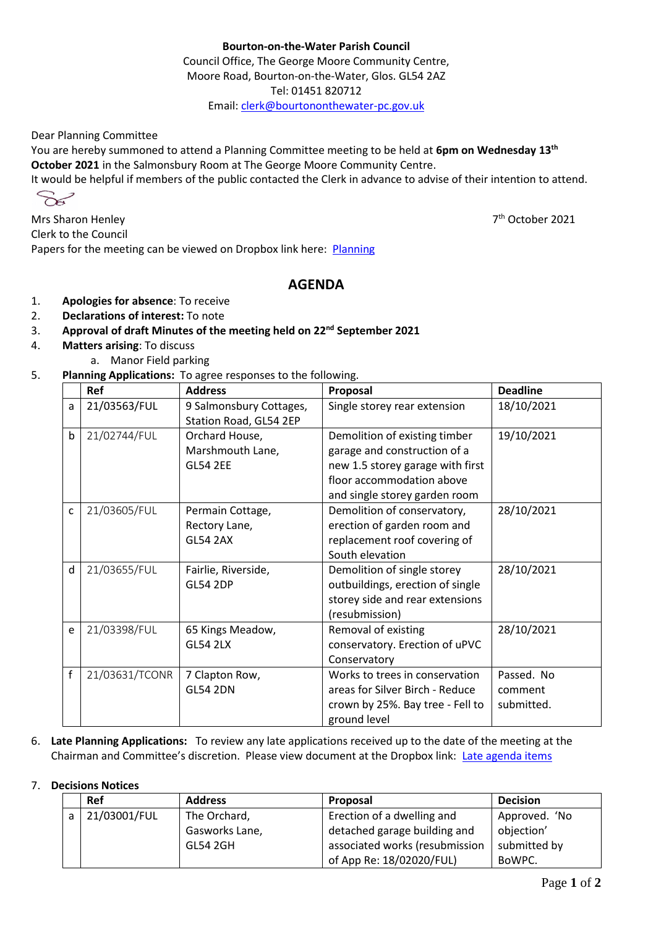## **Bourton-on-the-Water Parish Council**

Council Office, The George Moore Community Centre, Moore Road, Bourton-on-the-Water, Glos. GL54 2AZ Tel: 01451 820712 Email[: clerk@bourtononthewater-pc.gov.uk](mailto:clerk@bourtononthewater-pc.gov.uk)

Dear Planning Committee

You are hereby summoned to attend a Planning Committee meeting to be held at **6pm on Wednesday 13th October 2021** in the Salmonsbury Room at The George Moore Community Centre.

It would be helpful if members of the public contacted the Clerk in advance to advise of their intention to attend.

$$
\mathcal{S}^{\mathcal{S}}
$$

Mrs Sharon Henley 7 Clerk to the Council Papers for the meeting can be viewed on Dropbox link here: [Planning](https://www.dropbox.com/sh/i8l3jse40idp2yi/AACbuyG_poCF91CfaUWACEZNa?dl=0)

## **AGENDA**

- 1. **Apologies for absence**: To receive
- 2. **Declarations of interest:** To note
- 3. **Approval of draft Minutes of the meeting held on 22nd September 2021**
- 4. **Matters arising**: To discuss
	- a. Manor Field parking
- 5. **Planning Applications:** To agree responses to the following.

|   | Ref            | <b>Address</b>                                        | Proposal                                                                                                                                                        | <b>Deadline</b>                     |
|---|----------------|-------------------------------------------------------|-----------------------------------------------------------------------------------------------------------------------------------------------------------------|-------------------------------------|
| a | 21/03563/FUL   | 9 Salmonsbury Cottages,<br>Station Road, GL54 2EP     | Single storey rear extension                                                                                                                                    | 18/10/2021                          |
| b | 21/02744/FUL   | Orchard House,<br>Marshmouth Lane,<br><b>GL54 2EE</b> | Demolition of existing timber<br>garage and construction of a<br>new 1.5 storey garage with first<br>floor accommodation above<br>and single storey garden room | 19/10/2021                          |
| C | 21/03605/FUL   | Permain Cottage,<br>Rectory Lane,<br><b>GL54 2AX</b>  | Demolition of conservatory,<br>erection of garden room and<br>replacement roof covering of<br>South elevation                                                   | 28/10/2021                          |
| d | 21/03655/FUL   | Fairlie, Riverside,<br><b>GL54 2DP</b>                | Demolition of single storey<br>outbuildings, erection of single<br>storey side and rear extensions<br>(resubmission)                                            | 28/10/2021                          |
| e | 21/03398/FUL   | 65 Kings Meadow,<br><b>GL54 2LX</b>                   | Removal of existing<br>conservatory. Erection of uPVC<br>Conservatory                                                                                           | 28/10/2021                          |
| f | 21/03631/TCONR | 7 Clapton Row,<br><b>GL54 2DN</b>                     | Works to trees in conservation<br>areas for Silver Birch - Reduce<br>crown by 25%. Bay tree - Fell to<br>ground level                                           | Passed. No<br>comment<br>submitted. |

6. **Late Planning Applications:** To review any late applications received up to the date of the meeting at the Chairman and Committee's discretion. Please view document at the Dropbox link: [Late agenda items](https://www.dropbox.com/s/16mz14xh3nnbxfz/Late%20agenda%20items%20for%20Planning%20Committee%2013th%20October%202021.docx?dl=0)

## 7. **Decisions Notices**

|   | Ref          | <b>Address</b>  | <b>Proposal</b>                | <b>Decision</b> |
|---|--------------|-----------------|--------------------------------|-----------------|
| a | 21/03001/FUL | The Orchard,    | Erection of a dwelling and     | Approved. 'No   |
|   |              | Gasworks Lane,  | detached garage building and   | objection'      |
|   |              | <b>GL54 2GH</b> | associated works (resubmission | submitted by    |
|   |              |                 | of App Re: 18/02020/FUL)       | BoWPC.          |

7<sup>th</sup> October 2021